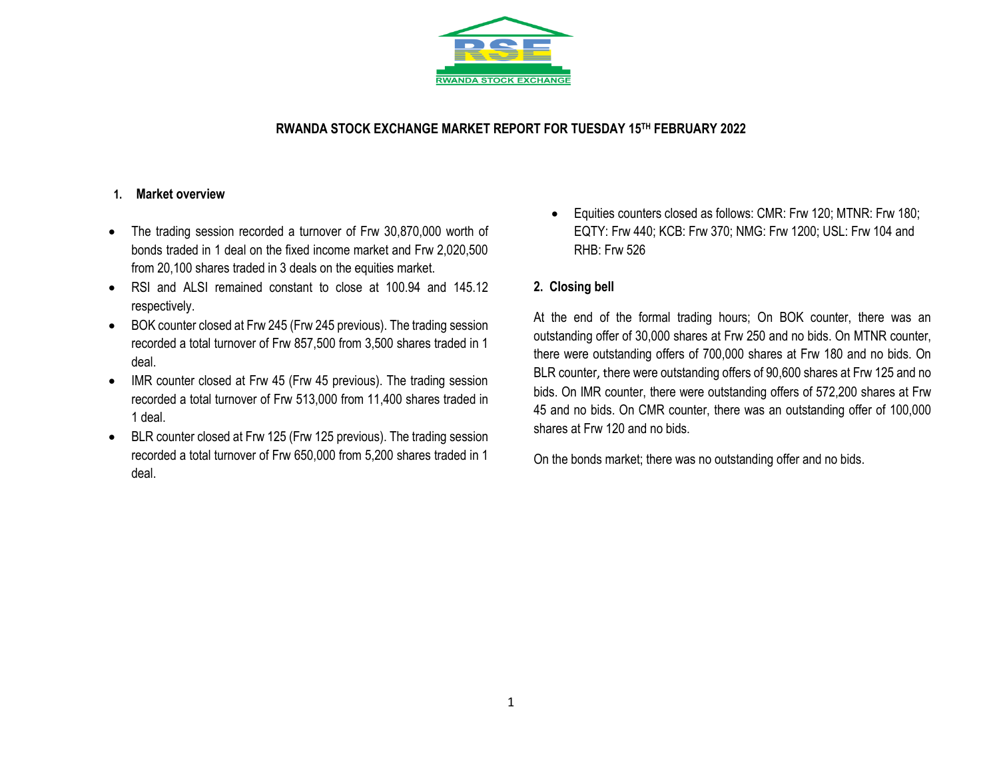

### **RWANDA STOCK EXCHANGE MARKET REPORT FOR TUESDAY 15 TH FEBRUARY 2022**

#### **1. Market overview**

- The trading session recorded a turnover of Frw 30,870,000 worth of bonds traded in 1 deal on the fixed income market and Frw 2,020,500 from 20,100 shares traded in 3 deals on the equities market.
- RSI and ALSI remained constant to close at 100.94 and 145.12 respectively.
- BOK counter closed at Frw 245 (Frw 245 previous). The trading session recorded a total turnover of Frw 857,500 from 3,500 shares traded in 1 deal.
- IMR counter closed at Frw 45 (Frw 45 previous). The trading session recorded a total turnover of Frw 513,000 from 11,400 shares traded in 1 deal.
- BLR counter closed at Frw 125 (Frw 125 previous). The trading session recorded a total turnover of Frw 650,000 from 5,200 shares traded in 1 deal.

• Equities counters closed as follows: CMR: Frw 120; MTNR: Frw 180; EQTY: Frw 440; KCB: Frw 370; NMG: Frw 1200; USL: Frw 104 and RHB: Frw 526

## **2. Closing bell**

At the end of the formal trading hours; On BOK counter, there was an outstanding offer of 30,000 shares at Frw 250 and no bids. On MTNR counter, there were outstanding offers of 700,000 shares at Frw 180 and no bids. On BLR counter, there were outstanding offers of 90,600 shares at Frw 125 and no bids. On IMR counter, there were outstanding offers of 572,200 shares at Frw 45 and no bids. On CMR counter, there was an outstanding offer of 100,000 shares at Frw 120 and no bids.

On the bonds market; there was no outstanding offer and no bids.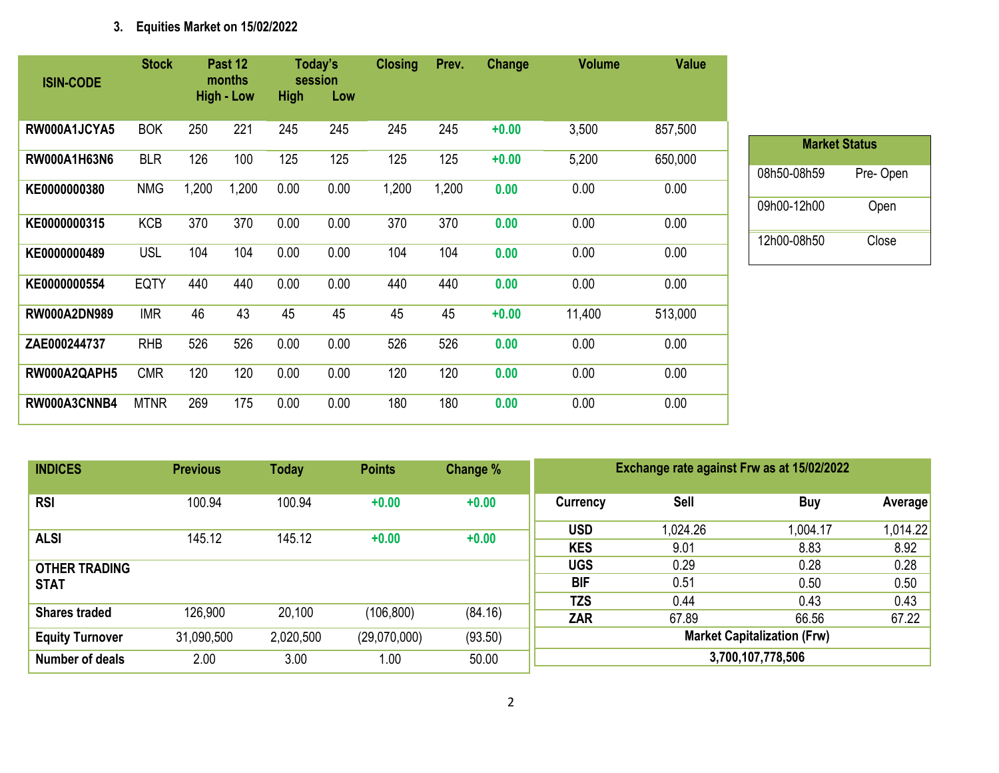# **3. Equities Market on 15/02/2022**

| <b>ISIN-CODE</b>    | <b>Stock</b> |       | Past 12<br>months |             | Today's<br>session | <b>Closing</b> | Prev. | Change  | <b>Volume</b> | <b>Value</b> |
|---------------------|--------------|-------|-------------------|-------------|--------------------|----------------|-------|---------|---------------|--------------|
|                     |              |       | <b>High - Low</b> | <b>High</b> | Low                |                |       |         |               |              |
| RW000A1JCYA5        | <b>BOK</b>   | 250   | 221               | 245         | 245                | 245            | 245   | $+0.00$ | 3,500         | 857,500      |
| RW000A1H63N6        | <b>BLR</b>   | 126   | 100               | 125         | 125                | 125            | 125   | $+0.00$ | 5,200         | 650,000      |
| KE0000000380        | <b>NMG</b>   | 1,200 | 1,200             | 0.00        | 0.00               | 1,200          | 1,200 | 0.00    | 0.00          | 0.00         |
| KE0000000315        | <b>KCB</b>   | 370   | 370               | 0.00        | 0.00               | 370            | 370   | 0.00    | 0.00          | 0.00         |
| KE0000000489        | <b>USL</b>   | 104   | 104               | 0.00        | 0.00               | 104            | 104   | 0.00    | 0.00          | 0.00         |
| KE0000000554        | <b>EQTY</b>  | 440   | 440               | 0.00        | 0.00               | 440            | 440   | 0.00    | 0.00          | 0.00         |
| <b>RW000A2DN989</b> | <b>IMR</b>   | 46    | 43                | 45          | 45                 | 45             | 45    | $+0.00$ | 11,400        | 513,000      |
| ZAE000244737        | <b>RHB</b>   | 526   | 526               | 0.00        | 0.00               | 526            | 526   | 0.00    | 0.00          | 0.00         |
| RW000A2QAPH5        | <b>CMR</b>   | 120   | 120               | 0.00        | 0.00               | 120            | 120   | 0.00    | 0.00          | 0.00         |
| RW000A3CNNB4        | <b>MTNR</b>  | 269   | 175               | 0.00        | 0.00               | 180            | 180   | 0.00    | 0.00          | 0.00         |

| <b>Market Status</b> |          |  |  |  |  |  |  |  |  |
|----------------------|----------|--|--|--|--|--|--|--|--|
| 08h50-08h59          | Pre-Open |  |  |  |  |  |  |  |  |
| 09h00-12h00          | Open     |  |  |  |  |  |  |  |  |
| 12h00-08h50          | Close    |  |  |  |  |  |  |  |  |

| <b>INDICES</b>                      | <b>Previous</b> | <b>Today</b> | <b>Points</b> | Change % | Exchange rate against Frw as at 15/02/2022 |                  |                  |                  |  |
|-------------------------------------|-----------------|--------------|---------------|----------|--------------------------------------------|------------------|------------------|------------------|--|
| <b>RSI</b>                          | 100.94          | 100.94       | $+0.00$       | $+0.00$  | Currency                                   | <b>Sell</b>      | <b>Buy</b>       | Average          |  |
| <b>ALSI</b>                         | 145.12          | 145.12       | $+0.00$       | $+0.00$  | <b>USD</b><br><b>KES</b>                   | 1,024.26<br>9.01 | 1,004.17<br>8.83 | 1,014.22<br>8.92 |  |
| <b>OTHER TRADING</b><br><b>STAT</b> |                 |              |               |          | <b>UGS</b><br><b>BIF</b>                   | 0.29<br>0.51     | 0.28<br>0.50     | 0.28<br>0.50     |  |
| <b>Shares traded</b>                | 126,900         | 20,100       | (106, 800)    | (84.16)  | <b>TZS</b><br>ZAR                          | 0.44<br>67.89    | 0.43<br>66.56    | 0.43<br>67.22    |  |
| <b>Equity Turnover</b>              | 31,090,500      | 2,020,500    | (29,070,000)  | (93.50)  | <b>Market Capitalization (Frw)</b>         |                  |                  |                  |  |
| <b>Number of deals</b>              | 2.00            | 3.00         | 1.00          | 50.00    | 3,700,107,778,506                          |                  |                  |                  |  |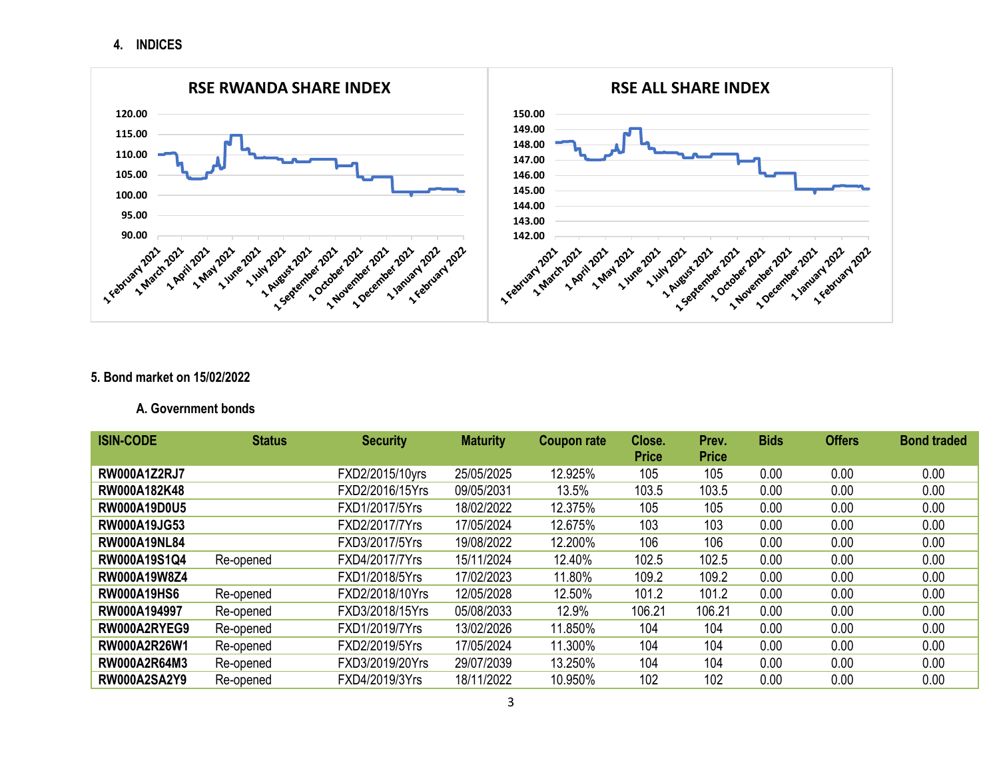**4. INDICES**



#### **5. Bond market on 15/02/2022**

### **A. Government bonds**

| <b>ISIN-CODE</b>    | <b>Status</b> | <b>Security</b> | <b>Maturity</b> | Coupon rate | Close.<br><b>Price</b> | Prev.<br><b>Price</b> | <b>Bids</b> | <b>Offers</b> | <b>Bond traded</b> |
|---------------------|---------------|-----------------|-----------------|-------------|------------------------|-----------------------|-------------|---------------|--------------------|
| <b>RW000A1Z2RJ7</b> |               | FXD2/2015/10yrs | 25/05/2025      | 12.925%     | 105                    | 105                   | 0.00        | 0.00          | 0.00               |
| RW000A182K48        |               | FXD2/2016/15Yrs | 09/05/2031      | 13.5%       | 103.5                  | 103.5                 | 0.00        | 0.00          | 0.00               |
| <b>RW000A19D0U5</b> |               | FXD1/2017/5Yrs  | 18/02/2022      | 12.375%     | 105                    | 105                   | 0.00        | 0.00          | 0.00               |
| <b>RW000A19JG53</b> |               | FXD2/2017/7Yrs  | 17/05/2024      | 12.675%     | 103                    | 103                   | 0.00        | 0.00          | 0.00               |
| <b>RW000A19NL84</b> |               | FXD3/2017/5Yrs  | 19/08/2022      | 12.200%     | 106                    | 106                   | 0.00        | 0.00          | 0.00               |
| RW000A19S1Q4        | Re-opened     | FXD4/2017/7Yrs  | 15/11/2024      | 12.40%      | 102.5                  | 102.5                 | 0.00        | 0.00          | 0.00               |
| RW000A19W8Z4        |               | FXD1/2018/5Yrs  | 17/02/2023      | 11.80%      | 109.2                  | 109.2                 | 0.00        | 0.00          | 0.00               |
| <b>RW000A19HS6</b>  | Re-opened     | FXD2/2018/10Yrs | 12/05/2028      | 12.50%      | 101.2                  | 101.2                 | 0.00        | 0.00          | 0.00               |
| RW000A194997        | Re-opened     | FXD3/2018/15Yrs | 05/08/2033      | 12.9%       | 106.21                 | 106.21                | 0.00        | 0.00          | 0.00               |
| RW000A2RYEG9        | Re-opened     | FXD1/2019/7Yrs  | 13/02/2026      | 11.850%     | 104                    | 104                   | 0.00        | 0.00          | 0.00               |
| RW000A2R26W1        | Re-opened     | FXD2/2019/5Yrs  | 17/05/2024      | 11.300%     | 104                    | 104                   | 0.00        | 0.00          | 0.00               |
| RW000A2R64M3        | Re-opened     | FXD3/2019/20Yrs | 29/07/2039      | 13.250%     | 104                    | 104                   | 0.00        | 0.00          | 0.00               |
| <b>RW000A2SA2Y9</b> | Re-opened     | FXD4/2019/3Yrs  | 18/11/2022      | 10.950%     | 102                    | 102                   | 0.00        | 0.00          | 0.00               |